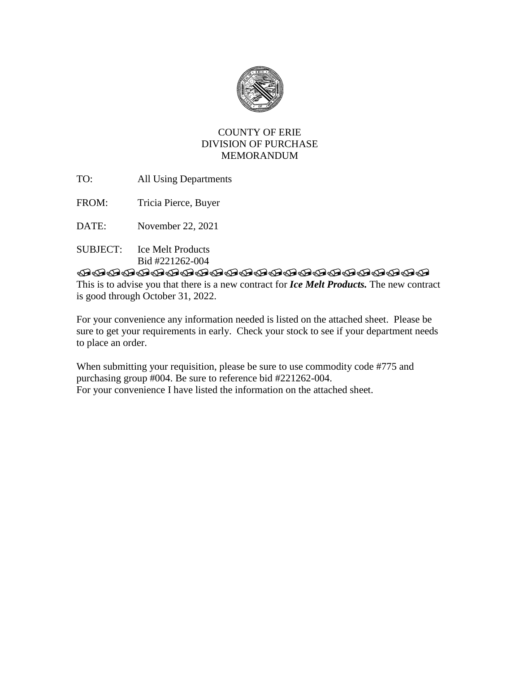

## COUNTY OF ERIE DIVISION OF PURCHASE MEMORANDUM

- TO: All Using Departments
- FROM: Tricia Pierce, Buyer
- DATE: November 22, 2021
- SUBJECT: Ice Melt Products Bid #221262-004

## **TRADDADADADADADADADADAD**

This is to advise you that there is a new contract for *Ice Melt Products.* The new contract is good through October 31, 2022.

For your convenience any information needed is listed on the attached sheet. Please be sure to get your requirements in early. Check your stock to see if your department needs to place an order.

When submitting your requisition, please be sure to use commodity code #775 and purchasing group #004. Be sure to reference bid #221262-004. For your convenience I have listed the information on the attached sheet.